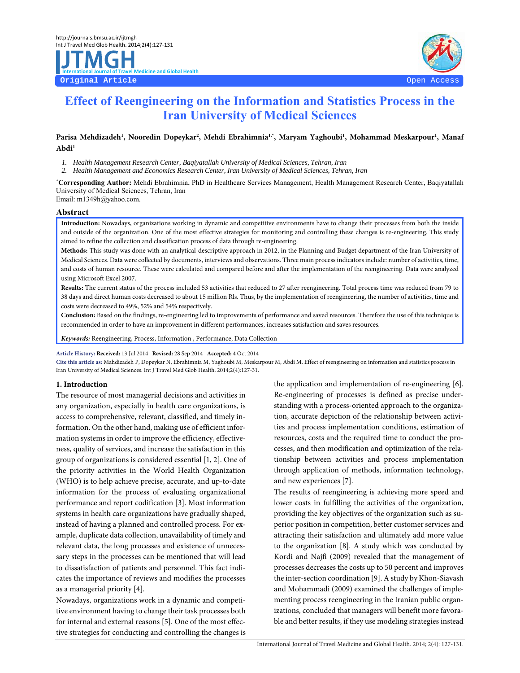# **Effect of Reengineering on the Information and Statistics Process in the Iran University of Medical Sciences**

Parisa Mehdizadeh<sup>1</sup>, Nooredin Dopeykar<sup>2</sup>, Mehdi Ebrahimnia<sup>1,</sup>\*, Maryam Yaghoubi<sup>1</sup>, Mohammad Meskarpour<sup>1</sup>, Manaf **Abdi1**

*1. Health Management Research Center, Baqiyatallah University of Medical Sciences, Tehran, Iran* 

*2. Health Management and Economics Research Center, Iran University of Medical Sciences, Tehran, Iran* 

**\*Corresponding Author:** Mehdi Ebrahimnia, PhD in Healthcare Services Management, Health Management Research Center, Baqiyatallah University of Medical Sciences, Tehran, Iran

Email: m1349h@yahoo.com.

#### **Abstract**

**Introduction:** Nowadays, organizations working in dynamic and competitive environments have to change their processes from both the inside and outside of the organization. One of the most effective strategies for monitoring and controlling these changes is re-engineering. This study aimed to refine the collection and classification process of data through re-engineering.

**Methods:** This study was done with an analytical-descriptive approach in 2012, in the Planning and Budget department of the Iran University of Medical Sciences. Data were collected by documents, interviews and observations. Three main process indicators include: number of activities, time, and costs of human resource. These were calculated and compared before and after the implementation of the reengineering. Data were analyzed using Microsoft Excel 2007.

**Results:** The current status of the process included 53 activities that reduced to 27 after reengineering. Total process time was reduced from 79 to 38 days and direct human costs decreased to about 15 million Rls. Thus, by the implementation of reengineering, the number of activities, time and costs were decreased to 49%, 52% and 54% respectively.

**Conclusion:** Based on the findings, re-engineering led to improvements of performance and saved resources. Therefore the use of this technique is recommended in order to have an improvement in different performances, increases satisfaction and saves resources.

**Keywords:** Reengineering, Process, Information , Performance, Data Collection

**Article History: Received:** 13 Jul 2014 **Revised:** 28 Sep 2014 **Accepted:** 4 Oct 2014

**Cite this article as:** Mahdizadeh P, Dopeykar N, Ebrahimnia M, Yaghoubi M, Meskarpour M, Abdi M. Effect of reengineering on information and statistics process in Iran University of Medical Sciences. Int J Travel Med Glob Health. 2014;2(4):127-31.

## **1. Introduction**

The resource of most managerial decisions and activities in any organization, especially in health care organizations, is access to comprehensive, relevant, classified, and timely information. On the other hand, making use of efficient information systems in order to improve the efficiency, effectiveness, quality of services, and increase the satisfaction in this group of organizations is considered essential [1, 2]. One of the priority activities in the World Health Organization (WHO) is to help achieve precise, accurate, and up-to-date information for the process of evaluating organizational performance and report codification [3]. Most information systems in health care organizations have gradually shaped, instead of having a planned and controlled process. For example, duplicate data collection, unavailability of timely and relevant data, the long processes and existence of unnecessary steps in the processes can be mentioned that will lead to dissatisfaction of patients and personnel. This fact indicates the importance of reviews and modifies the processes as a managerial priority [4].

Nowadays, organizations work in a dynamic and competitive environment having to change their task processes both for internal and external reasons [5]. One of the most effective strategies for conducting and controlling the changes is the application and implementation of re-engineering [6]. Re-engineering of processes is defined as precise understanding with a process-oriented approach to the organization, accurate depiction of the relationship between activities and process implementation conditions, estimation of resources, costs and the required time to conduct the processes, and then modification and optimization of the relationship between activities and process implementation through application of methods, information technology, and new experiences [7].

The results of reengineering is achieving more speed and lower costs in fulfilling the activities of the organization, providing the key objectives of the organization such as superior position in competition, better customer services and attracting their satisfaction and ultimately add more value to the organization [8]. A study which was conducted by Kordi and Najfi (2009) revealed that the management of processes decreases the costs up to 50 percent and improves the inter-section coordination [9]. A study by Khon-Siavash and Mohammadi (2009) examined the challenges of implementing process reengineering in the Iranian public organizations, concluded that managers will benefit more favorable and better results, if they use modeling strategies instead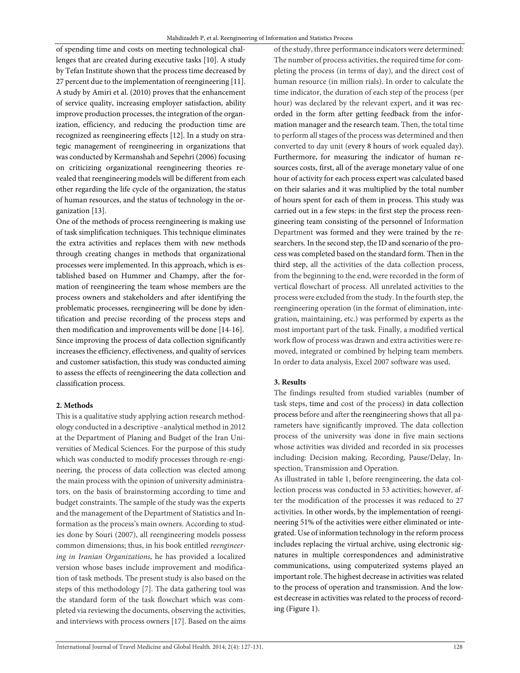of spending time and costs on meeting technological challenges that are created during executive tasks [10]. A study by Tefan Institute shown that the process time decreased by 27 percent due to the implementation of reengineering [11]. A study by Amiri et al. (2010) proves that the enhancement of service quality, increasing employer satisfaction, ability improve production processes, the integration of the organization, efficiency, and reducing the production time are recognized as reengineering effects [12]. In a study on strategic management of reengineering in organizations that was conducted by Kermanshah and Sepehri (2006) focusing on criticizing organizational reengineering theories revealed that reengineering models will be different from each other regarding the life cycle of the organization, the status of human resources, and the status of technology in the organization [13].

One of the methods of process reengineering is making use of task simplification techniques. This technique eliminates the extra activities and replaces them with new methods through creating changes in methods that organizational processes were implemented. In this approach, which is established based on Hummer and Champy, after the formation of reengineering the team whose members are the process owners and stakeholders and after identifying the problematic processes, reengineering will be done by identification and precise recording of the process steps and then modification and improvements will be done [14-16]. Since improving the process of data collection significantly increases the efficiency, effectiveness, and quality of services and customer satisfaction, this study was conducted aiming to assess the effects of reengineering the data collection and classification process.

## **2. Methods**

This is a qualitative study applying action research methodology conducted in a descriptive –analytical method in 2012 at the Department of Planing and Budget of the Iran Universities of Medical Sciences. For the purpose of this study which was conducted to modify processes through re-engineering, the process of data collection was elected among the main process with the opinion of university administrators, on the basis of brainstorming according to time and budget constraints. The sample of the study was the experts and the management of the Department of Statistics and Information as the process's main owners. According to studies done by Souri (2007), all reengineering models possess common dimensions; thus, in his book entitled reengineering in Iranian Organizations, he has provided a localized version whose bases include improvement and modification of task methods. The present study is also based on the steps of this methodology [7]. The data gathering tool was the standard form of the task flowchart which was completed via reviewing the documents, observing the activities, and interviews with process owners [17]. Based on the aims

of the study, three performance indicators were determined: The number of process activities, the required time for completing the process (in terms of day), and the direct cost of human resource (in million rials). In order to calculate the time indicator, the duration of each step of the process (per hour) was declared by the relevant expert, and it was recorded in the form after getting feedback from the information manager and the research team. Then, the total time to perform all stages of the process was determined and then converted to day unit (every 8 hours of work equaled day). Furthermore, for measuring the indicator of human resources costs, first, all of the average monetary value of one hour of activity for each process expert was calculated based on their salaries and it was multiplied by the total number of hours spent for each of them in process. This study was carried out in a few steps: in the first step the process reengineering team consisting of the personnel of Information Department was formed and they were trained by the researchers. In the second step, the ID and scenario of the process was completed based on the standard form. Then in the third step, all the activities of the data collection process, from the beginning to the end, were recorded in the form of vertical flowchart of process. All unrelated activities to the process were excluded from the study. In the fourth step, the reengineering operation (in the format of elimination, integration, maintaining, etc.) was performed by experts as the most important part of the task. Finally, a modified vertical work flow of process was drawn and extra activities were removed, integrated or combined by helping team members. In order to data analysis, Excel 2007 software was used.

## **3. Results**

The findings resulted from studied variables (number of task steps, time and cost of the process) in data collection process before and after the reengineering shows that all parameters have significantly improved. The data collection process of the university was done in five main sections whose activities was divided and recorded in six processes including: Decision making, Recording, Pause/Delay, Inspection, Transmission and Operation.

As illustrated in table 1, before reengineering, the data collection process was conducted in 53 activities; however, after the modification of the processes it was reduced to 27 activities. In other words, by the implementation of reengineering 51% of the activities were either eliminated or integrated. Use of information technology in the reform process includes replacing the virtual archive, using electronic signatures in multiple correspondences and administrative communications, using computerized systems played an important role. The highest decrease in activities was related to the process of operation and transmission. And the lowest decrease in activities was related to the process of recording (Figure 1).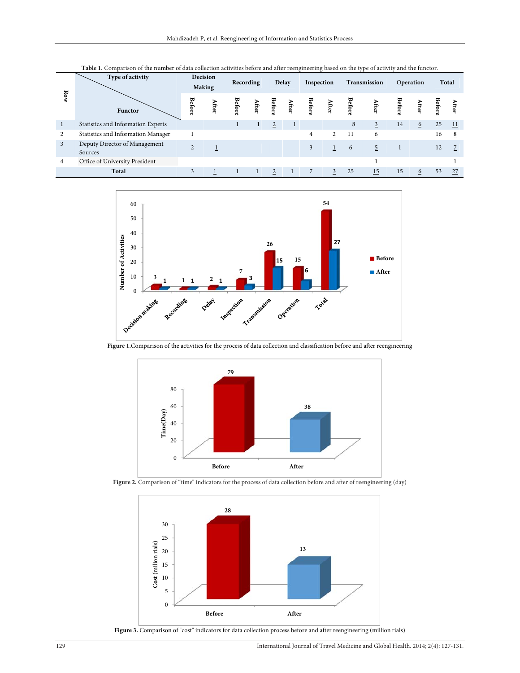| Row            | Type of activity<br>Functor              | Decision<br><b>Making</b> |   | Recording    |      | Delay          |   | Inspection |      | Transmission |      | Operation |      | Total       |                 |
|----------------|------------------------------------------|---------------------------|---|--------------|------|----------------|---|------------|------|--------------|------|-----------|------|-------------|-----------------|
|                |                                          | <b>Before</b>             | ₩ | <b>Befor</b> | fter | Before         | ₩ | Before     | fter | <b>Befor</b> | fter |           | fter | Bei<br>EQES |                 |
|                | Statistics and Information Experts       |                           |   |              |      | $\overline{2}$ |   |            |      | 8            | 3    | 14        | 6    | 25          | $\overline{11}$ |
| 2              | Statistics and Information Manager       |                           |   |              |      |                |   | 4          | 2    | 11           | 6    |           |      | 16          | 8               |
| $\overline{3}$ | Deputy Director of Management<br>Sources | $\sim$                    |   |              |      |                |   | 3          |      | 6            | 5    |           |      | 12          |                 |
| 4              | Office of University President           |                           |   |              |      |                |   |            |      |              |      |           |      |             |                 |
|                | Total                                    | 3                         |   |              |      | 2              |   |            | 3    | 25           | 15   | 15        | 6    | 53          | 27              |





**Figure 1.**Comparison of the activities for the process of data collection and classification before and after reengineering



Figure 2. Comparison of "time" indicators for the process of data collection before and after of reengineering (day)



Figure 3. Comparison of "cost" indicators for data collection process before and after reengineering (million rials)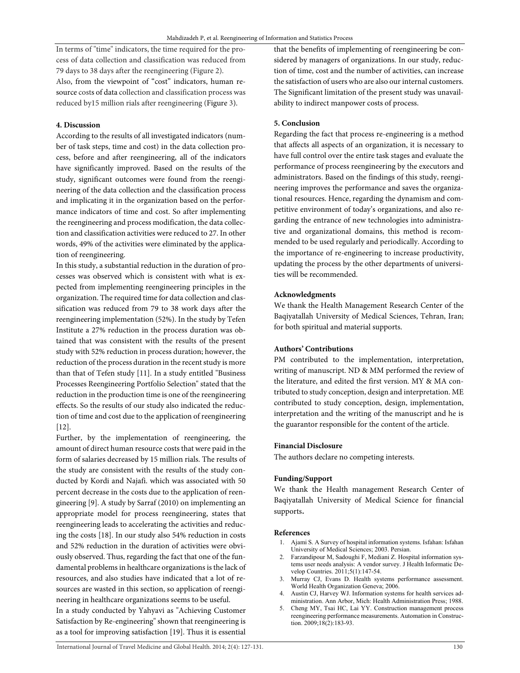In terms of "time" indicators, the time required for the process of data collection and classification was reduced from 79 days to 38 days after the reengineering (Figure 2). Also, from the viewpoint of "cost" indicators, human resource costs of data collection and classification process was reduced by15 million rials after reengineering (Figure 3).

## **4. Discussion**

According to the results of all investigated indicators (number of task steps, time and cost) in the data collection process, before and after reengineering, all of the indicators have significantly improved. Based on the results of the study, significant outcomes were found from the reengineering of the data collection and the classification process and implicating it in the organization based on the performance indicators of time and cost. So after implementing the reengineering and process modification, the data collection and classification activities were reduced to 27. In other words, 49% of the activities were eliminated by the application of reengineering.

In this study, a substantial reduction in the duration of processes was observed which is consistent with what is expected from implementing reengineering principles in the organization. The required time for data collection and classification was reduced from 79 to 38 work days after the reengineering implementation (52%). In the study by Tefen Institute a 27% reduction in the process duration was obtained that was consistent with the results of the present study with 52% reduction in process duration; however, the reduction of the process duration in the recent study is more than that of Tefen study [11]. In a study entitled "Business Processes Reengineering Portfolio Selection" stated that the reduction in the production time is one of the reengineering effects. So the results of our study also indicated the reduction of time and cost due to the application of reengineering  $[12]$ .

Further, by the implementation of reengineering, the amount of direct human resource costs that were paid in the form of salaries decreased by 15 million rials. The results of the study are consistent with the results of the study conducted by Kordi and Najafi. which was associated with 50 percent decrease in the costs due to the application of reengineering [9]. A study by Sarraf (2010) on implementing an appropriate model for process reengineering, states that reengineering leads to accelerating the activities and reducing the costs [18]. In our study also 54% reduction in costs and 52% reduction in the duration of activities were obviously observed. Thus, regarding the fact that one of the fundamental problems in healthcare organizations is the lack of resources, and also studies have indicated that a lot of resources are wasted in this section, so application of reengineering in healthcare organizations seems to be useful. In a study conducted by Yahyavi as "Achieving Customer Satisfaction by Re-engineering" shown that reengineering is as a tool for improving satisfaction [19]. Thus it is essential

that the benefits of implementing of reengineering be considered by managers of organizations. In our study, reduction of time, cost and the number of activities, can increase the satisfaction of users who are also our internal customers. The Significant limitation of the present study was unavailability to indirect manpower costs of process.

## **5. Conclusion**

Regarding the fact that process re-engineering is a method that affects all aspects of an organization, it is necessary to have full control over the entire task stages and evaluate the performance of process reengineering by the executors and administrators. Based on the findings of this study, reengineering improves the performance and saves the organizational resources. Hence, regarding the dynamism and competitive environment of today's organizations, and also regarding the entrance of new technologies into administrative and organizational domains, this method is recommended to be used regularly and periodically. According to the importance of re-engineering to increase productivity, updating the process by the other departments of universities will be recommended.

## **Acknowledgments**

We thank the Health Management Research Center of the Baqiyatallah University of Medical Sciences, Tehran, Iran; for both spiritual and material supports.

### **Authors' Contributions**

PM contributed to the implementation, interpretation, writing of manuscript. ND & MM performed the review of the literature, and edited the first version. MY & MA contributed to study conception, design and interpretation. ME contributed to study conception, design, implementation, interpretation and the writing of the manuscript and he is the guarantor responsible for the content of the article.

#### **Financial Disclosure**

The authors declare no competing interests.

#### **Funding/Support**

We thank the Health management Research Center of Baqiyatallah University of Medical Science for financial supports.

#### **References**

- 1. Ajami S. A Survey of hospital information systems. Isfahan: Isfahan University of Medical Sciences; 2003. Persian.
- 2. Farzandipour M, Sadoughi F, Mediani Z. Hospital information systems user needs analysis: A vendor survey. J Health Informatic Develop Countries. 2011;5(1):147-54.
- 3. Murray CJ, Evans D. Health systems performance assessment. World Health Organization Geneva; 2006.
- 4. Austin CJ, Harvey WJ. Information systems for health services administration. Ann Arbor, Mich: Health Administration Press; 1988.
- 5. Cheng MY, Tsai HC, Lai YY. Construction management process reengineering performance measurements. Automation in Construction. 2009;18(2):183-93.